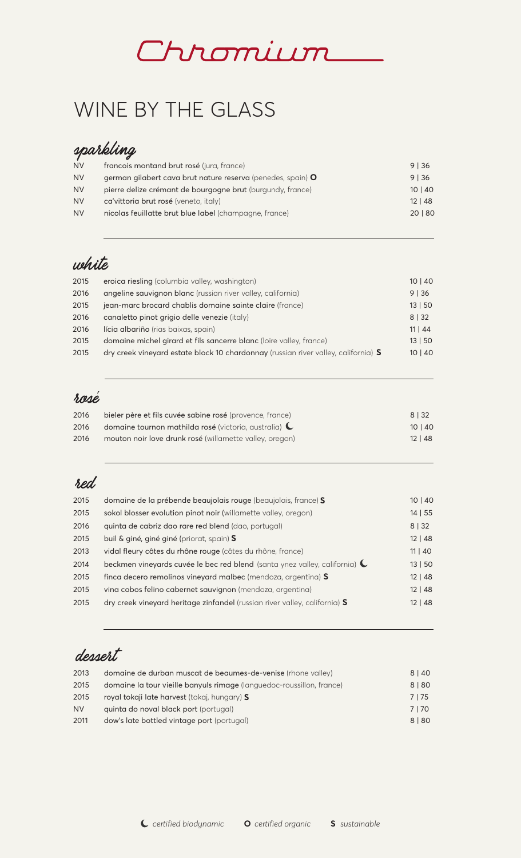

# WINE BY THE GLASS

## sparkling

| <b>NV</b> | francois montand brut rosé (jura, france)                   | $9 \mid 36$  |
|-----------|-------------------------------------------------------------|--------------|
| <b>NV</b> | german gilabert cava brut nature reserva (penedes, spain) O | 9136         |
| <b>NV</b> | pierre delize crémant de bourgogne brut (burgundy, france)  | 10   40      |
| <b>NV</b> | ca'vittoria brut rosé (veneto, italy)                       | $12 \mid 48$ |
| <b>NV</b> | nicolas feuillatte brut blue label (champagne, france)      | 20   80      |
|           |                                                             |              |

## white

| 2015 | eroica riesling (columbia valley, washington)                                      | 10   40 |
|------|------------------------------------------------------------------------------------|---------|
| 2016 | angeline sauvignon blanc (russian river valley, california)                        | 9 36    |
| 2015 | jean-marc brocard chablis domaine sainte claire (france)                           | 13   50 |
| 2016 | canaletto pinot grigio delle venezie (italy)                                       | 8   32  |
| 2016 | lícia albariño (rias baixas, spain)                                                | 11   44 |
| 2015 | domaine michel girard et fils sancerre blanc (loire valley, france)                | 13   50 |
| 2015 | dry creek vineyard estate block 10 chardonnay (russian river valley, california) S | 10   40 |

#### rosé

| 2016 | bieler père et fils cuvée sabine rosé (provence, france) | 8 3 3 2      |
|------|----------------------------------------------------------|--------------|
| 2016 | domaine tournon mathilda rosé (victoria, australia) (    | 10   40      |
| 2016 | mouton noir love drunk rosé (willamette valley, oregon)  | $12 \mid 48$ |

### red

| 2015 | domaine de la prébende beaujolais rouge (beaujolais, france) S                     | 10   40 |
|------|------------------------------------------------------------------------------------|---------|
| 2015 | sokol blosser evolution pinot noir (willamette valley, oregon)                     | 14   55 |
| 2016 | quinta de cabriz dao rare red blend (dao, portugal)                                | 8   32  |
| 2015 | buil & giné, giné giné (priorat, spain) S                                          | 12   48 |
| 2013 | vidal fleury côtes du rhône rouge (côtes du rhône, france)                         | 11   40 |
| 2014 | beckmen vineyards cuvée le bec red blend (santa ynez valley, california) $\bigcup$ | 13   50 |
| 2015 | finca decero remolinos vineyard malbec (mendoza, argentina) S                      | 12   48 |
| 2015 | vina cobos felino cabernet sauvignon (mendoza, argentina)                          | 12   48 |
| 2015 | dry creek vineyard heritage zinfandel (russian river valley, california) S         | 12   48 |
|      |                                                                                    |         |

## dessert

| 2013      | domaine de durban muscat de beaumes-de-venise (rhone valley)          | 8 40   |
|-----------|-----------------------------------------------------------------------|--------|
| 2015      | domaine la tour vieille banyuls rimage (languedoc-roussillon, france) | 8   80 |
| 2015      | royal tokaji late harvest (tokaj, hungary) S                          | 7   75 |
| <b>NV</b> | quinta do noval black port (portugal)                                 | 7170   |
| 2011      | dow's late bottled vintage port (portugal)                            | 8   80 |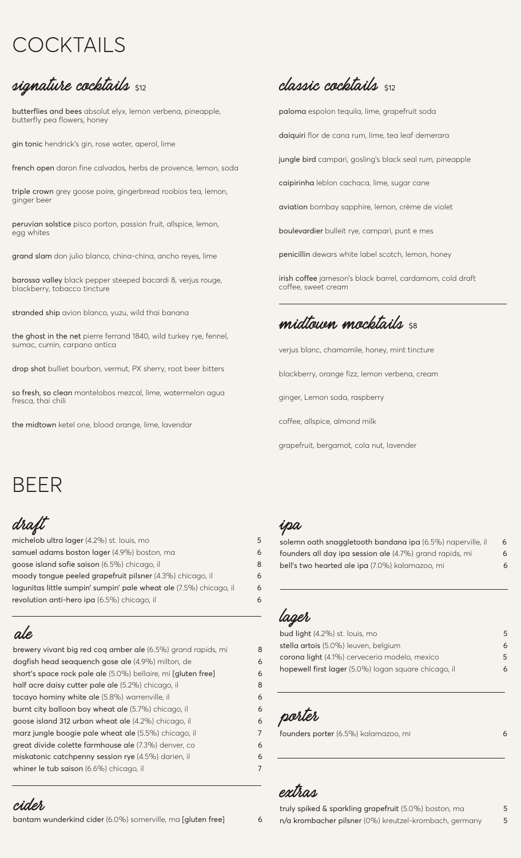# COCKTAILS

## signature cocktails \$12

butterflies and bees absolut elyx, lemon verbena, pineapple, butterfly pea flowers, honey

gin tonic hendrick's gin, rose water, aperol, lime

french open daron fine calvados, herbs de provence, lemon, soda

triple crown grey goose poire, gingerbread roobios tea, lemon, ginger beer

peruvian solstice pisco porton, passion fruit, allspice, lemon, egg whites

grand slam don julio blanco, china-china, ancho reyes, lime

barossa valley black pepper steeped bacardi 8, verjus rouge, blackberry, tobacco tincture

stranded ship avion blanco, yuzu, wild thai banana

the ghost in the net pierre ferrand 1840, wild turkey rye, fennel, sumac, cumin, carpano antica

drop shot bulliet bourbon, vermut, PX sherry, root beer bitters

so fresh, so clean montelobos mezcal, lime, watermelon agua fresca, thai chili

the midtown ketel one, blood orange, lime, lavendar

## **classic cocktails**  $\frac{1}{2}$

paloma espolon tequila, lime, grapefruit soda daiquiri flor de cana rum, lime, tea leaf demerara jungle bird campari, gosling's black seal rum, pineapple caipirinha leblon cachaca, lime, sugar cane aviation bombay sapphire, lemon, crème de violet boulevardier bulleit rye, campari, punt e mes penicillin dewars white label scotch, lemon, honey

irish coffee jameson's black barrel, cardamom, cold draft coffee, sweet cream

## midtouen mocktails se

verjus blanc, chamomile, honey, mint tincture

blackberry, orange fizz, lemon verbena, cream

ginger, Lemon soda, raspberry

coffee, allspice, almond milk

grapefruit, bergamot, cola nut, lavender

# BEER

draft

michelob ultra lager (4.2%) st. louis, mo 5 samuel adams boston lager (4.9%) boston, ma6 goose island sofie saison (6.5%) chicago, il8 moody tongue peeled grapefruit pilsner (4.3%) chicago, il6 lagunitas little sumpin' sumpin' pale wheat ale (7.5%) chicago, il 6 revolution anti-hero ipa (6.5%) chicago, il6

### ale

brewery vivant big red coq amber ale (6.5%) grand rapids, mi 8 dogfish head seaquench gose ale (4.9%) milton, de6 short's space rock pale ale (5.0%) bellaire, mi [gluten free] 6 half acre daisy cutter pale ale (5.2%) chicago, il<br>
8 tocayo hominy white ale (5.8%) warrenville, il6 burnt city balloon boy wheat ale (5.7%) chicago, il6 goose island 312 urban wheat ale (4.2%) chicago, il6 marz jungle boogie pale wheat ale (5.5%) chicago, il7 great divide colette farmhouse ale (7.3%) denver, co6 miskatonic catchpenny session rye (4.5%) darien, il6 whiner le tub saison (6.6%) chicago, il **7** and *7* and *7* and *7* and *7* and *7* and *7* and *7* and *7* and *7* and *7* and *7* and *7* and *7* and *7* and *7* and *7* and *7* and *7* and *7* and *7* and *7* and *7* an

#### cider

#### ipa

solemn oath snaggletooth bandana ipa (6.5%) naperville, il6 founders all day ipa session ale (4.7%) grand rapids, mi 6 bell's two hearted ale ipa (7.0%) kalamazoo, mi 6

### lager

| bud light (4.2%) st. louis, mo                       | 5 |
|------------------------------------------------------|---|
| stella artois (5.0%) leuven, belgium                 | 6 |
| corona light (4.1%) cerveceria modelo, mexico        | 5 |
| hopewell first lager (5.0%) logan square chicago, il | 6 |
|                                                      |   |

porter

founders porter (6.5%) kalamazoo, mi6

#### extras

truly spiked & sparkling grapefruit (5.0%) boston, ma 5 bantam wunderkind cider (6.0%) somerville, ma [gluten free] 6 n/a krombacher pilsner (0%) kreutzel-krombach, germany 5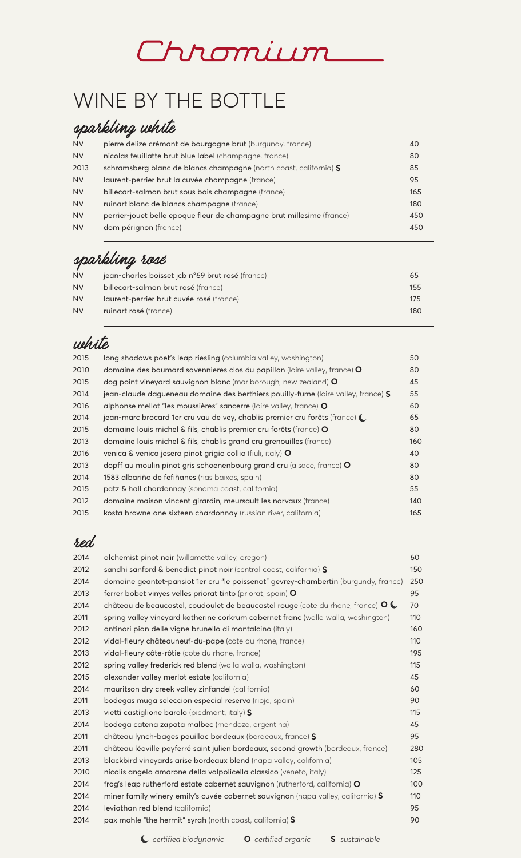# Chromium

# WINE BY THE BOTTLE

## sparkling white

| <b>NV</b> | pierre delize crémant de bourgogne brut (burgundy, france)            | 40  |
|-----------|-----------------------------------------------------------------------|-----|
| <b>NV</b> | nicolas feuillatte brut blue label (champagne, france)                | 80  |
| 2013      | schramsberg blanc de blancs champagne (north coast, california) S     | 85  |
| <b>NV</b> | laurent-perrier brut la cuvée champagne (france)                      | 95  |
| <b>NV</b> | billecart-salmon brut sous bois champagne (france)                    | 165 |
| <b>NV</b> | ruinart blanc de blancs champagne (france)                            | 180 |
| <b>NV</b> | perrier-jouet belle epoque fleur de champagne brut millesime (france) | 450 |
| <b>NV</b> | dom pérignon (france)                                                 | 450 |
|           |                                                                       |     |

## sparkling rosé

| <b>NV</b> | jean-charles boisset jcb n°69 brut rosé (france) | 65   |
|-----------|--------------------------------------------------|------|
| <b>NV</b> | billecart-salmon brut rosé (france)              | 155  |
| <b>NV</b> | laurent-perrier brut cuvée rosé (france)         | 17.5 |
| <b>NV</b> | ruinart rosé (france)                            | 180  |
|           |                                                  |      |

## white

| 2015 | long shadows poet's leap riesling (columbia valley, washington)                     | 50  |
|------|-------------------------------------------------------------------------------------|-----|
| 2010 | domaine des baumard savennieres clos du papillon (loire valley, france) O           | 80  |
| 2015 | dog point vineyard sauvignon blanc (marlborough, new zealand) O                     | 45  |
| 2014 | jean-claude dagueneau domaine des berthiers pouilly-fume (loire valley, france) S   | 55  |
| 2016 | alphonse mellot "les moussières" sancerre (loire valley, france) O                  | 60  |
| 2014 | jean-marc brocard 1er cru vau de vey, chablis premier cru forêts (france) $\bigcup$ | 65  |
| 2015 | domaine louis michel & fils, chablis premier cru forêts (france) O                  | 80  |
| 2013 | domaine louis michel & fils, chablis grand cru grenouilles (france)                 | 160 |
| 2016 | venica & venica jesera pinot grigio collio (fiuli, italy) O                         | 40  |
| 2013 | dopff au moulin pinot gris schoenenbourg grand cru (alsace, france) O               | 80  |
| 2014 | 1583 albariño de fefiñanes (rias baixas, spain)                                     | 80  |
| 2015 | patz & hall chardonnay (sonoma coast, california)                                   | 55  |
| 2012 | domaine maison vincent girardin, meursault les narvaux (france)                     | 140 |
| 2015 | kosta browne one sixteen chardonnay (russian river, california)                     | 165 |

### red

| 2014 | alchemist pinot noir (willamette valley, oregon)                                                    | 60  |
|------|-----------------------------------------------------------------------------------------------------|-----|
| 2012 | sandhi sanford & benedict pinot noir (central coast, california) S                                  | 150 |
| 2014 | domaine geantet-pansiot 1er cru "le poissenot" gevrey-chambertin (burgundy, france)                 | 250 |
| 2013 | ferrer bobet vinyes velles priorat tinto (priorat, spain) $\mathsf O$                               | 95  |
| 2014 | château de beaucastel, coudoulet de beaucastel rouge (cote du rhone, france) $\mathsf{O}\mathsf{C}$ | 70  |
| 2011 | spring valley vineyard katherine corkrum cabernet franc (walla walla, washington)                   | 110 |
| 2012 | antinori pian delle vigne brunello di montalcino (italy)                                            | 160 |
| 2012 | vidal-fleury châteauneuf-du-pape (cote du rhone, france)                                            | 110 |
| 2013 | vidal-fleury côte-rôtie (cote du rhone, france)                                                     | 195 |
| 2012 | spring valley frederick red blend (walla walla, washington)                                         | 115 |
| 2015 | alexander valley merlot estate (california)                                                         | 45  |
| 2014 | mauritson dry creek valley zinfandel (california)                                                   | 60  |
| 2011 | bodegas muga seleccion especial reserva (rioja, spain)                                              | 90  |
| 2013 | vietti castiglione barolo (piedmont, italy) S                                                       | 115 |
| 2014 | bodega catena zapata malbec (mendoza, argentina)                                                    | 45  |
| 2011 | château lynch-bages pauillac bordeaux (bordeaux, france) S                                          | 95  |
| 2011 | château léoville poyferré saint julien bordeaux, second growth (bordeaux, france)                   | 280 |
| 2013 | blackbird vineyards arise bordeaux blend (napa valley, california)                                  | 105 |
| 2010 | nicolis angelo amarone della valpolicella classico (veneto, italy)                                  | 125 |
| 2014 | frog's leap rutherford estate cabernet sauvignon (rutherford, california) O                         | 100 |
| 2014 | miner family winery emily's cuvée cabernet sauvignon (napa valley, california) S                    | 110 |
| 2014 | leviathan red blend (california)                                                                    | 95  |
| 2014 | pax mahle "the hermit" syrah (north coast, california) S                                            | 90  |